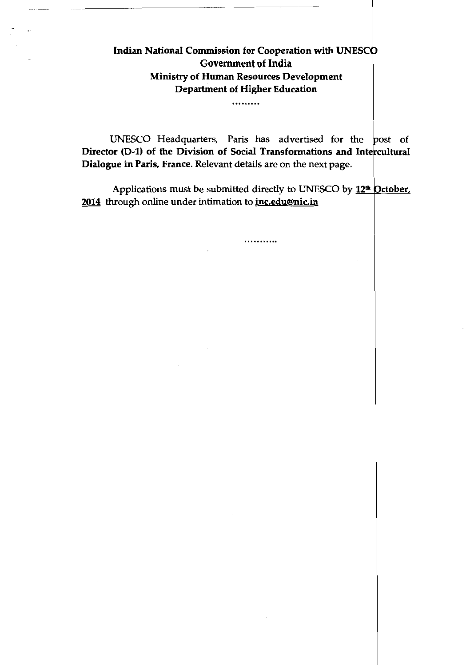# Indian National Commission for Cooperation with UNESC Government of India Ministry of Human Resources Development Department of Higher Education

.........

UNESCO Headquarters, Paris has advertised for the post of Director (D-1) of the Division of Social Transformations and Intercultural Dialogue in Paris, France. Relevant details are on the next page.

Applications must be submitted directly to UNESCO by  $12<sup>th</sup>$  October. 2014 through online under intimation to *inc.edu@nic.in* 

...........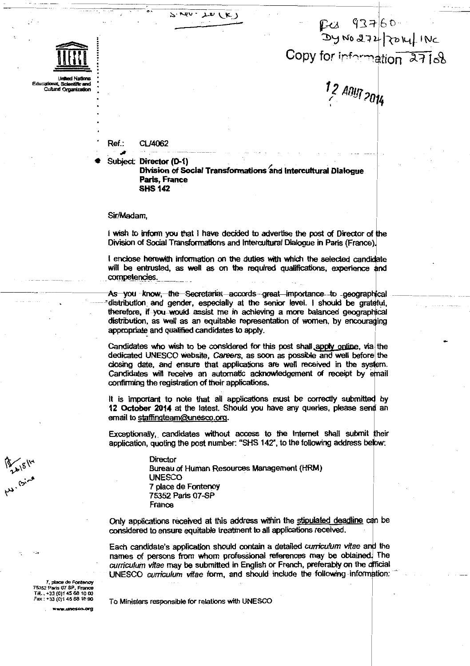ر ما سد  $\sim$  rev.

P-C1 93760<br>Dy No 272 FORT INC Copy for information 27168

1<sub>,</sub>2 Any<sub>1 2014</sub>

#### Ref.. CL/4062

**Cultural Orga** 

Subject: Director (D-1) Division of Social Transformations and Intercultural Dialogue Paris, France **SHS 142** 

#### Sir/Madam,

I wish to inform you that I have decided to advertise the post of Director of the Division of Social Transformations and Intercultural Dialogue in Paris (France).

I enclose herewith information on the duties with which the selected candidate will be entrusted, as well as on the required qualifications, experience and competencies.

As you know<del>, the Secretariat accords great importance to</del> geographical distribution and gender, especially at the senior level. I should be grateful, therefore, if you would assist me in achieving a more balanced geographical distribution, as well as an equitable representation of women, by encouraging appropriate and qualified candidates to apply.

Candidates who wish to be considered for this post shall apply online, via the dedicated UNESCO website, Careers, as soon as possible and well before the closing date, and ensure that applications are well received in the system. Candidates will receive an automatic acknowledgement of receipt by email confirming the registration of their applications.

It is important to note that all applications must be correctly submitted by 12 October 2014 at the latest. Should you have any queries, please send an email to staffingteam@unesco.org.

Exceptionally, candidates without access to the internet shall submit their application, quoting the post number: "SHS 142", to the following address below:

> Director Bureau of Human Resources Management (HRM) **UNESCO** 7 place de Fontenoy 75352 Paris 07-SP France

Only applications received at this address within the stipulated deadline can be considered to ensure equitable treatment to all applications received.

Each candidate's application should contain a detailed curriculum vitae and the names of persons from whom professional references may be obtained. The curriculum vitae may be submitted in English or French, preferably on the official UNESCO curriculum vitae form, and should include the following information:

75352 Paris 07 SP, Franc Têl.: +33 (0)1 45 68 10 00 Fax: +33 (0)1 45 68 16 90

A. 18/14

To Ministers responsible for relations with UNESCO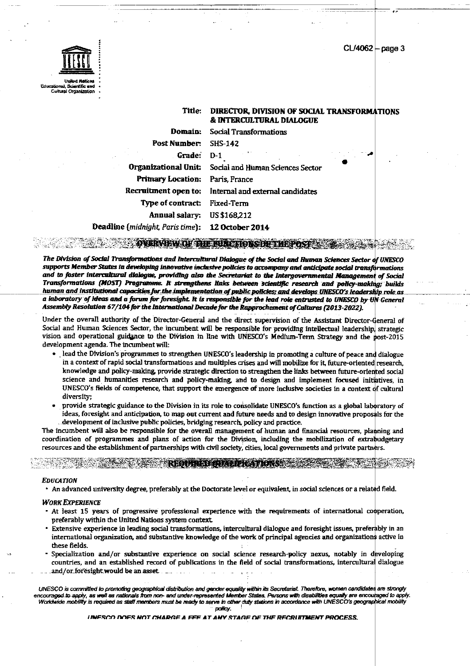CL/4062 page 3



Cultural Organiz

#### Title: DIRECTOR, DIVISION OF SOCIAL TRANSFORMATIONS & INTERCULTURAL DIALOGUE

| Domain:                                          | Social Transformations                                |
|--------------------------------------------------|-------------------------------------------------------|
| Post Number:                                     | SHS-142                                               |
| Grade:                                           | $D-1$                                                 |
| Organizational Unit:                             | Social and Human Sciences Sector                      |
| <b>Primary Location:</b>                         | Paris, France                                         |
|                                                  | Recruitment open to: Internal and external candidates |
| Type of contract: Fixed-Term                     |                                                       |
| Annual salary:                                   | US \$168,212                                          |
| Deadline (midnight, Paris time): 12 October 2014 |                                                       |

rangel.<br>Kultura **EXPLANATIVE OF THE BUALTIONS OF THE POST ASSOCIATE** 

The Division of Social Transformations and Intercultural Dialogue of the Social and Human Sciences Sector of UNESCO supports Member States in developing innovative inclusive policies to accompany and anticipate social transformations and to foster intercultural dialogue, providing also the Secretariat to the Intergovernmental Management of Social Transformations (MOST) Programme. It strengthens links between scientific research and policy-making; builds human and institutional capacities for the implementation of public policies; and develops UNESCO's leadership role as a laboratory of ideas and a forum for foresight. It is responsible for the lead role entrusted to UNESCO by UN General Assembly Resolution 67/104 for the International Decade for the Rapprochement of Cultures (2013-2022).

Under the overall authority of the Director-General and the direct supervision of the Assistant Director-General of Social and Human Sciences Sector, the incumbent will be responsible for providing intellectual leadership, strategic vision and operational guidance to the Division in line with UNESCO's Medium-Term Strategy and the post-2015 development agenda. The incumbent will:

- · lead the Division's programmes to strengthen UNESCO's leadership in promoting a culture of peace and dialogue in a context of rapid social transformations and multiples crises and will mobilize for it, future-oriented research, knowledge and policy-making, provide strategic direction to strengthen the links between future-oriented social science and humanities research and policy-making, and to design and implement focused initiatives, in UNESCO's fields of competence, that support the emergence of more inclusive societies in a context of cultural diversity;
- provide strategic guidance to the Division in its role to consolidate UNESCO's function as a global laboratory of ideas, foresight and anticipation, to map out current and future needs and to design innovative proposals for the development of inclusive public policies, bridging research, policy and practice.

The incumbent will also be responsible for the overall management of human and financial resources, planning and coordination of programmes and plans of action for the Division, including the mobilization of extrabudgetary resources and the establishment of partnerships with civil society, cities, local governments and private partners.

#### **EDUCATION**

• An advanced university degree, preferably at the Doctorate level or equivalent, in social sciences or a related field.

PECPRISE PERMIT RAT

### **WORK EXPERIENCE**

- At least 15 years of progressive professional experience with the requirements of international cooperation, preferably within the United Nations system context.
- · Extensive experience in leading social transformations, intercultural dialogue and foresight issues, preferably in an international organization, and substantive knowledge of the work of principal agencies and organizations active in these fields.
- Specialization and/or substantive experience on social science research-policy nexus, notably in developing countries, and an established record of publications in the field of social transformations, intercultural dialogue and/or foresight would be an asset.

UNESCO is committed to promoting geographical distribution and gander equality within its Secretarial. Therefore, women candidates are strongly encouraged to soply, as well as nationals from non- and under-represented Member States. Persons with disabilities equally are encouraged to apply. Worldwide mobility is required as staff members must be ready to serve in other duty stations in accordance with UNESCO's geographical mobility

policy.

INFSCO DOES NOT CHARGE A FEE AT ANY STAGE OF THE RECRITTMENT PROCESS.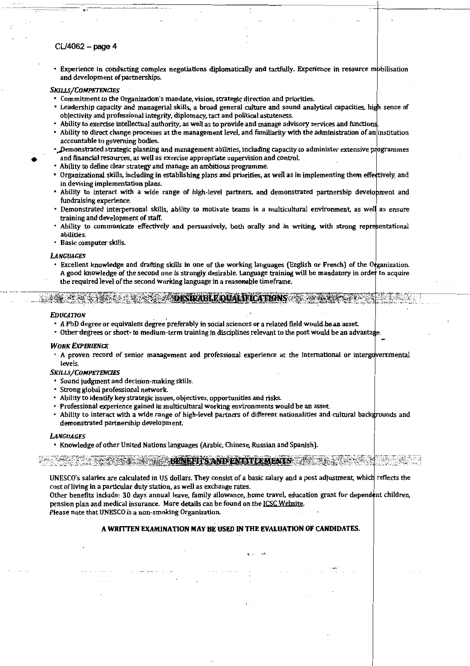### CU4062- page 4

..

• Experience in conducting complex negotiations diplomatically and tactfully. Experience in resource mbbilisation and development of partnerships.

#### *SKJUSjCOMPETENCIES*

- Commitment to the Organization's mandate, vision, strategic direction and priorities.
- Leadership capacity and managerial skills, a broad general culture and sound analytical capacities, high sense of objectivity and professional integrity, diplomacy, tact and political astuteness.
- Ability to exercise intellectual authority, as well as to provide and manage advisory services and functions.
- Ability to direct change processes at the management level. and familiarity with the administration of ani institution accountable to governing bodies.
- Demonstrated strategic planning and management abilities, including capacity to administer extensive programmes • and financial resources, as well as exercise appropriate supervision and control.
- Ability to define clear strategy and manage an ambitious programme.
- Organizational skills, including in establishing plans and priorities, as well as in implementing them effettively, and in devising implementation plans.
- Ability to interact with a wide range of high-level partners, and demonstrated partnership develobment and fundraising experience.
- Demonstrated interpersonal skills, ability to motivate teams in a multicultural environment. as welJ as ensure training and deVelopment of staff.
- Ability to communicate effectively and persuasively, both orally and in writing, with strong representational abilities.
- Basic computer skills.

#### *LANGUAGES*

Excellent knowledge and drafting skills in one of the working languages (English or French) of the O~ganization. A good knowledge of the second one is strongly desirable. Language training will be mandatory in order to acquire the required level of the second working language in a reasonable timeframe.

-~~~;:tfl:~;:(~:!·~~~-htW.:~i?;:!i~~f~~~lBi~IW~~;{~~,~~t~~~1:~~~g~i:~-.~gtJ{~!x:r~~7.-

**EXAMPLE OUALIFICATIONS AND ALL PROPERTY OF A STATE** 

#### *FDUCATION*

- A PhD degree or equivalent degree preferably in social sciences or a related field would be an asset.
- Other degrees or short- to medium-term training in disciplines relevant to the post would be an advantage.

#### **WORK EXPERIENCE**

• A proven record of senior management and professional experience at the international or intergdvernmental levels.

#### *SKILLS/COMPETENCIES*

- Sound judgment and decision-making skills.
- Strong global professional network.
- Ability to identify key strategic issues, objectives, opportunities and risks.
- Professional experience gained in multicultural working environments would be an asset
- Ability to interact with a wide range of high-level partners of different nationalities and cultural backgrounds and demonstrated-partnership development.

#### *LANGUAGES*

• Knowledge of other United Nations languages (Arabic, Chinese, Russian and Spanish).

## $_{\rm{3.14\%}~\rm{N}}$  ,  $_{\rm{3.14\%}~\rm{N}}$  ,  $_{\rm{3.14\%}~\rm{N}}$  ,  $_{\rm{4.14\%}~\rm{N}}$  ,  $_{\rm{5.14\%}~\rm{N}}$

UNESCO's salaries are calculated in US dollars. They consist of a basic salary and a post adjustment, whicll reflects the cost of living in a particular duty station, as well as exchange rates.

Other benefits include: 30 days annual leave, family allowance, home travel, education grant for dependent children, pension plan and medical insurance. More details can be found on the ICSC Website. Please note that UNESCO is a non-smoking Organization.

### A WRITTEN EXAMINATION MAY BE USED IN THE EVALUATION OF CANDIDATES.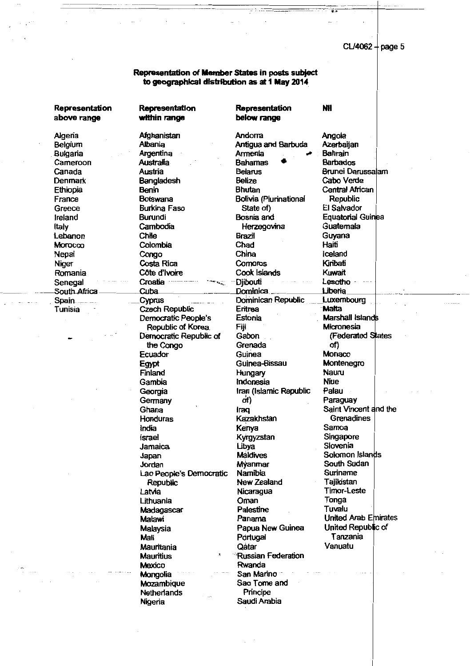$CL/4062 + page 5$ 

 $\overline{a}$  i

**Nil** 

## **Representation of Member States in posts subject to geographical distribution as at 1 May 2014**

**Representation** 

**Representation above range** 

**Representation within range**  Algeria **Afghanistan** Andorra Belgium Albania Antigua and Barbuda Bulgaria **Argentina Annenia Annenia** Cameroon Australia Bahamas • Canada Austria Belarus Brunei Darussalam Denmark Bangladesh Belize Cabo Verde Ethiopia Benin Bhutan Central African France Botswana Bolivia {Piurinational Republic Greece Burkina Faso State of) El Salvador Ireland Burundi Bosnia and Equatorial Guinea Italy Cambodia Herzegovina Guatemala Lebanon Chile Brazil Guyana Morocco Colombia Chad Haiti Nepal Congo China Iceland Niger Costa Rica Comoros Kiribati Romania Côte d'Ivoire Cook Islands Kuwait Senegal Croatia · -- •• , Djibouti Lesotho · South Africa \_ Cuba \_ \_ \_ \_ Dominica \_ \_ liberia . Spain \_\_\_\_\_\_\_\_\_\_\_\_\_\_\_\_Cyprus \_\_\_\_\_\_\_\_\_\_\_\_\_\_\_\_Dominican Republic \_\_\_\_\_Luxembourg Tunisia Czech Republic Eritrea Malta Democratic People's Estonia Marshall Islands Republic of Korea. Fiji Micronesia Democratic Republic of Gabon (Federated States the Congo Grenada of) Ecuador Guinea Monaco Egypt Guinea-Bissau Montenegro Finland Hungary Nauru Gambia Indonesia Niue Georgia **Iran (Islamic Republic Palau** Germany of) of Paraguay Ghana **Iraq** Iraq Saint Vincent and the Honduras **Kazakhstan** Grenadines India Keriya Samoa Israel Kyrgyzstan Singapore Jamaica Ubya Slovenia Japan Maldives Solomon Islands Jordan Myanmar South Sudan Lao People's Democratic Namibia Suriname Republic New Zealand Tajikistan Latvia Nicaragua Timor-Leste Uthuania Oman Tonga Madagascar Palestine Malawi Panama United Arab Emirates Malaysia Papua New Guinea United Republic of Mali Pdrtugal Tanzania Mauritania Qatar Vanuatu Mauritius **Mauritius Russian Federation** Mexico Rwanda Mongolia San Marino Mozambique Sao Tome and Netherlands Principe Nigeria Saudi Arabia

**below range** 

Angola Azerbaijan Bahrain Barbados